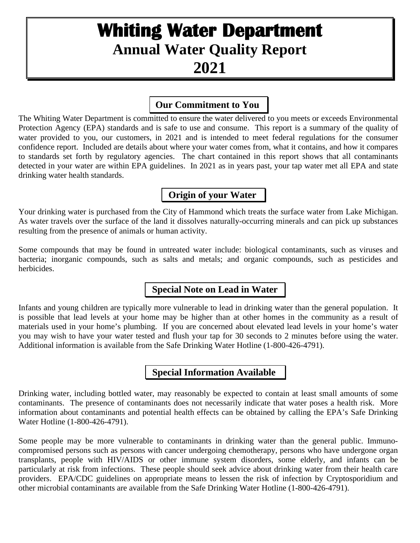# **Whiting Water Department Annual Water Quality Report 2021**

# **Our Commitment to You**

The Whiting Water Department is committed to ensure the water delivered to you meets or exceeds Environmental Protection Agency (EPA) standards and is safe to use and consume. This report is a summary of the quality of water provided to you, our customers, in 2021 and is intended to meet federal regulations for the consumer confidence report. Included are details about where your water comes from, what it contains, and how it compares to standards set forth by regulatory agencies. The chart contained in this report shows that all contaminants detected in your water are within EPA guidelines. In 2021 as in years past, your tap water met all EPA and state drinking water health standards.

# **Origin of your Water**

Your drinking water is purchased from the City of Hammond which treats the surface water from Lake Michigan. As water travels over the surface of the land it dissolves naturally-occurring minerals and can pick up substances resulting from the presence of animals or human activity.

Some compounds that may be found in untreated water include: biological contaminants, such as viruses and bacteria; inorganic compounds, such as salts and metals; and organic compounds, such as pesticides and herbicides.

# **Special Note on Lead in Water**

Infants and young children are typically more vulnerable to lead in drinking water than the general population. It is possible that lead levels at your home may be higher than at other homes in the community as a result of materials used in your home's plumbing. If you are concerned about elevated lead levels in your home's water you may wish to have your water tested and flush your tap for 30 seconds to 2 minutes before using the water. Additional information is available from the Safe Drinking Water Hotline (1-800-426-4791).

# **Special Information Available**

Drinking water, including bottled water, may reasonably be expected to contain at least small amounts of some contaminants. The presence of contaminants does not necessarily indicate that water poses a health risk. More information about contaminants and potential health effects can be obtained by calling the EPA's Safe Drinking Water Hotline (1-800-426-4791).

Some people may be more vulnerable to contaminants in drinking water than the general public. Immunocompromised persons such as persons with cancer undergoing chemotherapy, persons who have undergone organ transplants, people with HIV/AIDS or other immune system disorders, some elderly, and infants can be particularly at risk from infections. These people should seek advice about drinking water from their health care providers. EPA/CDC guidelines on appropriate means to lessen the risk of infection by Cryptosporidium and other microbial contaminants are available from the Safe Drinking Water Hotline (1-800-426-4791).